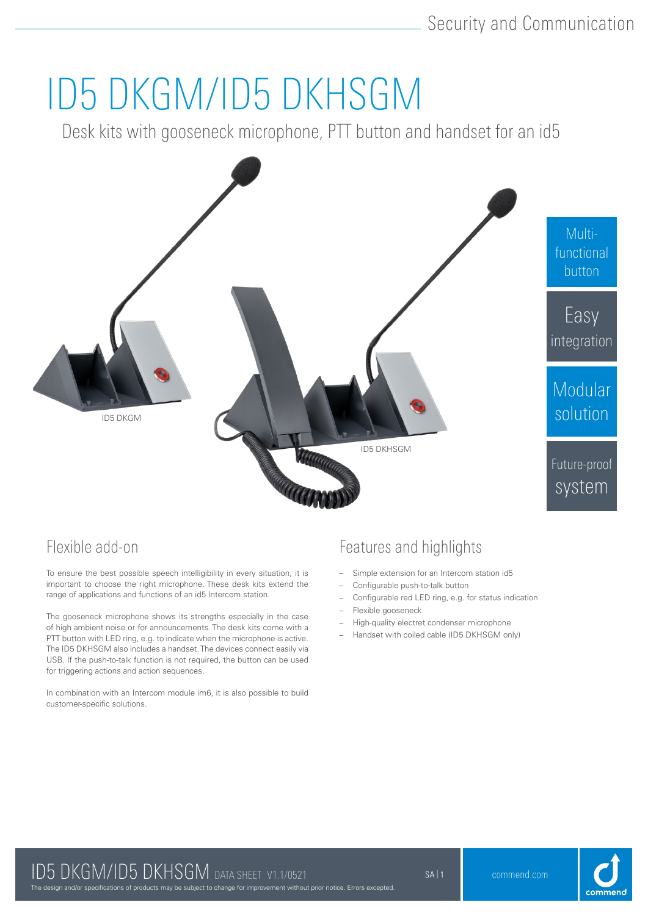# ID5 DKGM/ID5 DKHSGM

Desk kits with gooseneck microphone, PTT button and handset for an id5



## Flexible add-on

To ensure the best possible speech intelligibility in every situation, it is important to choose the right microphone. These desk kits extend the range of applications and functions of an id5 Intercom station.

The gooseneck microphone shows its strengths especially in the case of high ambient noise or for announcements. The desk kits come with a PTT button with LED ring, e.g. to indicate when the microphone is active. The ID5 DKHSGM also includes a handset. The devices connect easily via USB. If the push-to-talk function is not required, the button can be used for triggering actions and action sequences.

In combination with an Intercom module im6, it is also possible to build customer-specific solutions.

## Features and highlights

- Simple extension for an Intercom station id5
- Configurable push-to-talk button
- Configurable red LED ring, e.g. for status indication
- Flexible gooseneck
- High-quality electret condenser microphone
- Handset with coiled cable (ID5 DKHSGM only)



The design and/or specifications of products may be subject to change for improvement without prior notice. Errors excepted.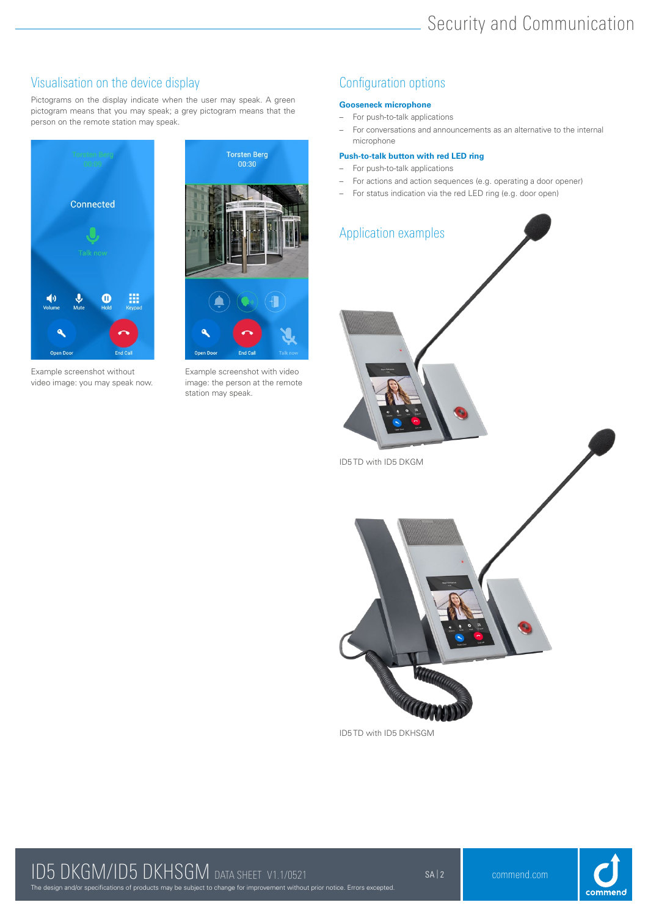## Visualisation on the device display and the configuration options of the device display

Pictograms on the display indicate when the user may speak. A green pictogram means that you may speak; a grey pictogram means that the person on the remote station may speak.



Example screenshot without video image: you may speak now.



Example screenshot with video image: the person at the remote station may speak.

### **Gooseneck microphone**

- For push-to-talk applications
- For conversations and announcements as an alternative to the internal microphone

### **Push-to-talk button with red LED ring**

- For push-to-talk applications
- For actions and action sequences (e.g. operating a door opener)
- For status indication via the red LED ring (e.g. door open)



ID5 TD with ID5 DKHSGM



## The design and/or specifications of products may be subject to change for improvement without prior notice. Errors excepted. ID5 DKGM/ID5 DKHSGM DATA SHEET V1.1/0521 SAI2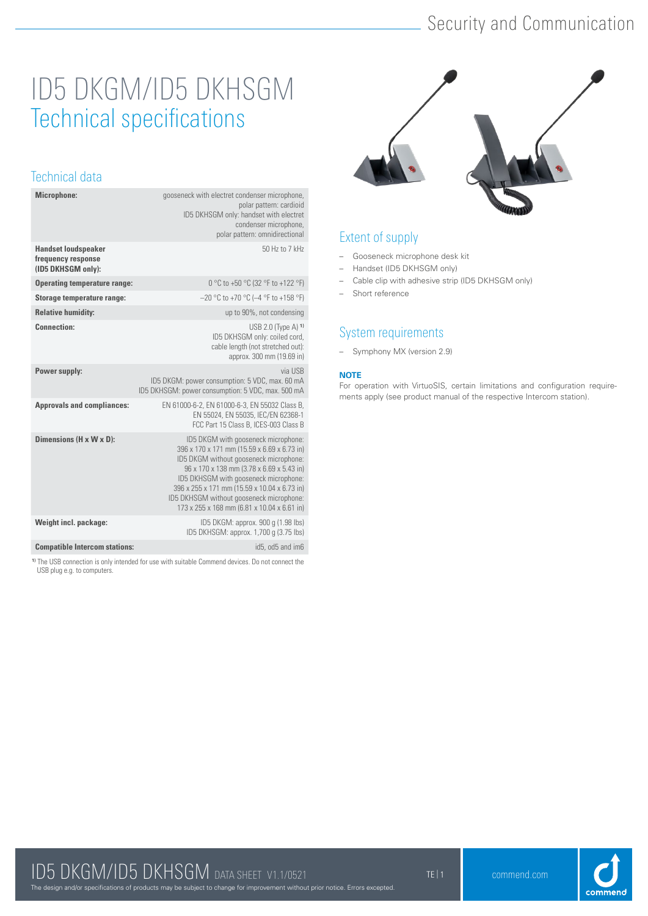## Security and Communication

## ID5 DKGM/ID5 DKHSGM Technical specifications

## Technical data

| Microphone:                                                            | gooseneck with electret condenser microphone,<br>polar pattern: cardioid<br>ID5 DKHSGM only: handset with electret<br>condenser microphone,<br>polar pattern: omnidirectional                                                                                                                                                                                 |
|------------------------------------------------------------------------|---------------------------------------------------------------------------------------------------------------------------------------------------------------------------------------------------------------------------------------------------------------------------------------------------------------------------------------------------------------|
| <b>Handset loudspeaker</b><br>frequency response<br>(ID5 DKHSGM only): | 50 Hz to 7 kHz                                                                                                                                                                                                                                                                                                                                                |
| <b>Operating temperature range:</b>                                    | 0 °C to +50 °C (32 °F to +122 °F)                                                                                                                                                                                                                                                                                                                             |
| Storage temperature range:                                             | $-20$ °C to +70 °C (-4 °F to +158 °F)                                                                                                                                                                                                                                                                                                                         |
| <b>Relative humidity:</b>                                              | up to 90%, not condensing                                                                                                                                                                                                                                                                                                                                     |
| <b>Connection:</b>                                                     | USB 2.0 (Type A) $1$ )<br>ID5 DKHSGM only: coiled cord,<br>cable length (not stretched out):<br>approx. 300 mm (19.69 in)                                                                                                                                                                                                                                     |
| Power supply:                                                          | via USB<br>ID5 DKGM: power consumption: 5 VDC, max. 60 mA<br>ID5 DKHSGM: power consumption: 5 VDC, max. 500 mA                                                                                                                                                                                                                                                |
| <b>Approvals and compliances:</b>                                      | EN 61000-6-2, EN 61000-6-3, EN 55032 Class B,<br>EN 55024, EN 55035, IEC/EN 62368-1<br>FCC Part 15 Class B, ICES-003 Class B                                                                                                                                                                                                                                  |
| Dimensions (H x W x D):                                                | ID5 DKGM with gooseneck microphone:<br>396 x 170 x 171 mm (15.59 x 6.69 x 6.73 in)<br>ID5 DKGM without gooseneck microphone:<br>96 x 170 x 138 mm (3.78 x 6.69 x 5.43 in)<br>ID5 DKHSGM with gooseneck microphone:<br>396 x 255 x 171 mm (15.59 x 10.04 x 6.73 in)<br>ID5 DKHSGM without gooseneck microphone:<br>173 x 255 x 168 mm (6.81 x 10.04 x 6.61 in) |
| Weight incl. package:                                                  | ID5 DKGM: approx. 900 g (1.98 lbs)<br>ID5 DKHSGM: approx. 1,700 q (3.75 lbs)                                                                                                                                                                                                                                                                                  |
| <b>Compatible Intercom stations:</b>                                   | id5, od5 and im6                                                                                                                                                                                                                                                                                                                                              |

**1)** The USB connection is only intended for use with suitable Commend devices. Do not connect the USB plug e.g. to computers.



## Extent of supply

- Gooseneck microphone desk kit
- Handset (ID5 DKHSGM only)
- Cable clip with adhesive strip (ID5 DKHSGM only)
- Short reference

## System requirements

– Symphony MX (version 2.9)

### **NOTE**

For operation with VirtuoSIS, certain limitations and configuration requirements apply (see product manual of the respective Intercom station).

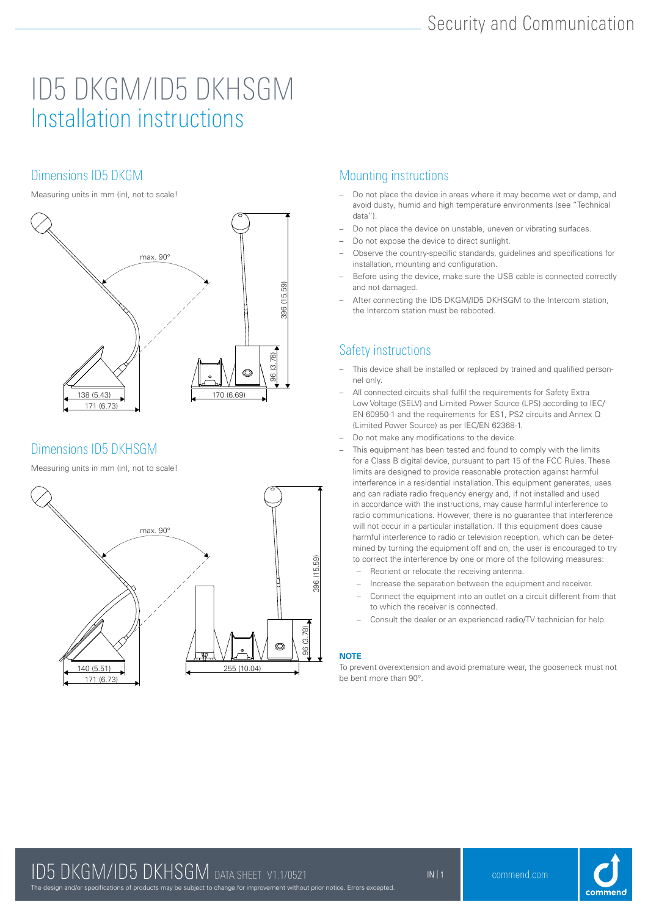## ID5 DKGM/ID5 DKHSGM Installation instructions

## Dimensions ID5 DKGM

Measuring units in mm (in), not to scale!



## Dimensions ID5 DKHSGM

Measuring units in mm (in), not to scale!



## Mounting instructions

- Do not place the device in areas where it may become wet or damp, and avoid dusty, humid and high temperature environments (see "Technical data").
- Do not place the device on unstable, uneven or vibrating surfaces.
- Do not expose the device to direct sunlight.
- Observe the country-specific standards, guidelines and specifications for installation, mounting and configuration.
- Before using the device, make sure the USB cable is connected correctly and not damaged.
- After connecting the ID5 DKGM/ID5 DKHSGM to the Intercom station, the Intercom station must be rebooted.

## Safety instructions

- This device shall be installed or replaced by trained and qualified personnel only.
- All connected circuits shall fulfil the requirements for Safety Extra Low Voltage (SELV) and Limited Power Source (LPS) according to IEC/ EN 60950-1 and the requirements for ES1, PS2 circuits and Annex Q (Limited Power Source) as per IEC/EN 62368-1.
- Do not make any modifications to the device.
- This equipment has been tested and found to comply with the limits for a Class B digital device, pursuant to part 15 of the FCC Rules. These limits are designed to provide reasonable protection against harmful interference in a residential installation. This equipment generates, uses and can radiate radio frequency energy and, if not installed and used in accordance with the instructions, may cause harmful interference to radio communications. However, there is no guarantee that interference will not occur in a particular installation. If this equipment does cause harmful interference to radio or television reception, which can be determined by turning the equipment off and on, the user is encouraged to try to correct the interference by one or more of the following measures:
	- Reorient or relocate the receiving antenna.
	- Increase the separation between the equipment and receiver.
	- Connect the equipment into an outlet on a circuit different from that to which the receiver is connected.
	- Consult the dealer or an experienced radio/TV technician for help.

### **NOTE**

To prevent overextension and avoid premature wear, the gooseneck must not be bent more than 90°.